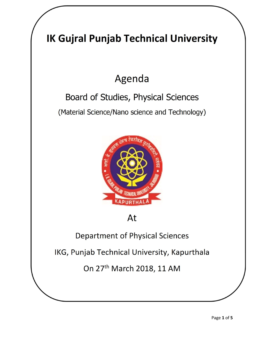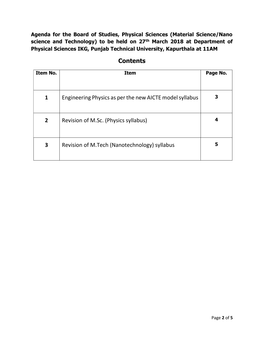Agenda for the Board of Studies, Physical Sciences (Material Science/Nano science and Technology) to be held on 27<sup>th</sup> March 2018 at Department of Physical Sciences IKG, Punjab Technical University, Kapurthala at 11AM

| Item No.       | <b>Item</b>                                             | Page No. |
|----------------|---------------------------------------------------------|----------|
|                |                                                         |          |
| 1              | Engineering Physics as per the new AICTE model syllabus |          |
| $\overline{2}$ | Revision of M.Sc. (Physics syllabus)                    | 4        |
| 3              | Revision of M.Tech (Nanotechnology) syllabus            | 5        |

## **Contents**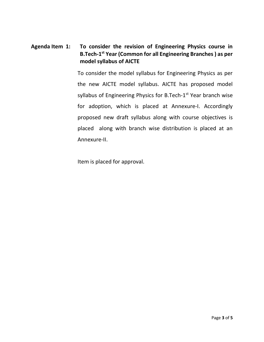## Agenda Item 1: To consider the revision of Engineering Physics course in B.Tech-1st Year (Common for all Engineering Branches ) as per model syllabus of AICTE

To consider the model syllabus for Engineering Physics as per the new AICTE model syllabus. AICTE has proposed model syllabus of Engineering Physics for B.Tech-1<sup>st</sup> Year branch wise for adoption, which is placed at Annexure-I. Accordingly proposed new draft syllabus along with course objectives is placed along with branch wise distribution is placed at an Annexure-II.

Item is placed for approval.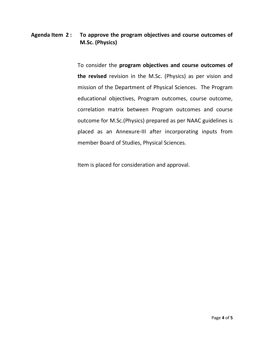## Agenda Item 2: To approve the program objectives and course outcomes of M.Sc. (Physics)

To consider the program objectives and course outcomes of the revised revision in the M.Sc. (Physics) as per vision and mission of the Department of Physical Sciences. The Program educational objectives, Program outcomes, course outcome, correlation matrix between Program outcomes and course outcome for M.Sc.(Physics) prepared as per NAAC guidelines is placed as an Annexure-III after incorporating inputs from member Board of Studies, Physical Sciences.

Item is placed for consideration and approval.